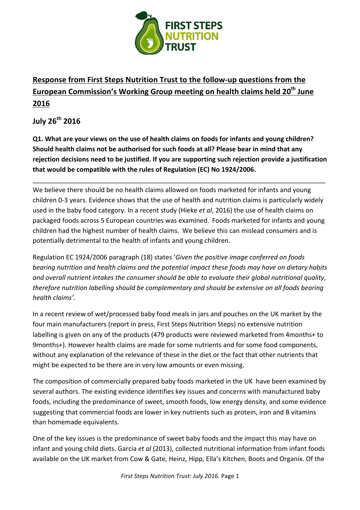

# **Response from First Steps Nutrition Trust to the follow-up questions from the European Commission's Working Group meeting on health claims held 20<sup>th</sup> June 2016**

**July 26th 2016**

**Q1.** What are your views on the use of health claims on foods for infants and young children? Should health claims not be authorised for such foods at all? Please bear in mind that any rejection decisions need to be justified. If you are supporting such rejection provide a justification that would be compatible with the rules of Regulation (EC) No 1924/2006.

\_\_\_\_\_\_\_\_\_\_\_\_\_\_\_\_\_\_\_\_\_\_\_\_\_\_\_\_\_\_\_\_\_\_\_\_\_\_\_\_\_\_\_\_\_\_\_\_\_\_\_\_\_\_\_\_\_\_\_\_\_\_\_\_\_\_\_\_\_\_\_\_\_\_\_\_\_\_\_\_\_

We believe there should be no health claims allowed on foods marketed for infants and young children 0-3 years. Evidence shows that the use of health and nutrition claims is particularly widely used in the baby food category. In a recent study (Hieke *et al*, 2016) the use of health claims on packaged foods across 5 European countries was examined. Foods marketed for infants and young children had the highest number of health claims. We believe this can mislead consumers and is potentially detrimental to the health of infants and young children.

Regulation EC 1924/2006 paragraph (18) states 'Given the positive image conferred on foods *bearing nutrition and health claims and the potential impact these foods may have on dietary habits* and overall nutrient intakes the consumer should be able to evaluate their global nutritional quality, *therefore nutrition labelling should be complementary and should be extensive on all foods bearing* health claims'.

In a recent review of wet/processed baby food meals in jars and pouches on the UK market by the four main manufacturers (report in press, First Steps Nutrition Steps) no extensive nutrition labelling is given on any of the products (479 products were reviewed marketed from 4months+ to 9months+). However health claims are made for some nutrients and for some food components, without any explanation of the relevance of these in the diet or the fact that other nutrients that might be expected to be there are in very low amounts or even missing.

The composition of commercially prepared baby foods marketed in the UK have been examined by several authors. The existing evidence identifies key issues and concerns with manufactured baby foods, including the predominance of sweet, smooth foods, low energy density, and some evidence suggesting that commercial foods are lower in key nutrients such as protein, iron and B vitamins than homemade equivalents.

One of the key issues is the predominance of sweet baby foods and the impact this may have on infant and young child diets. Garcia *et al* (2013), collected nutritional information from infant foods available on the UK market from Cow & Gate, Heinz, Hipp, Ella's Kitchen, Boots and Organix. Of the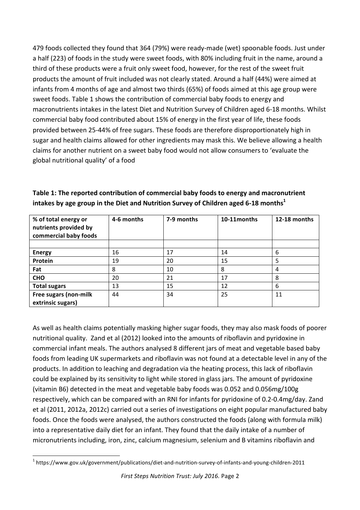479 foods collected they found that 364 (79%) were ready-made (wet) spoonable foods. Just under a half (223) of foods in the study were sweet foods, with 80% including fruit in the name, around a third of these products were a fruit only sweet food, however, for the rest of the sweet fruit products the amount of fruit included was not clearly stated. Around a half (44%) were aimed at infants from 4 months of age and almost two thirds (65%) of foods aimed at this age group were sweet foods. Table 1 shows the contribution of commercial baby foods to energy and macronutrients intakes in the latest Diet and Nutrition Survey of Children aged 6-18 months. Whilst commercial baby food contributed about 15% of energy in the first year of life, these foods provided between 25-44% of free sugars. These foods are therefore disproportionately high in sugar and health claims allowed for other ingredients may mask this. We believe allowing a health claims for another nutrient on a sweet baby food would not allow consumers to 'evaluate the global nutritional quality' of a food

| % of total energy or<br>nutrients provided by<br>commercial baby foods | 4-6 months | 7-9 months | 10-11 months | 12-18 months |
|------------------------------------------------------------------------|------------|------------|--------------|--------------|
|                                                                        |            |            |              |              |
| <b>Energy</b>                                                          | 16         | 17         | 14           | 6            |
| Protein                                                                | 19         | 20         | 15           | 5            |
| Fat                                                                    | 8          | 10         | 8            | 4            |
| <b>CHO</b>                                                             | 20         | 21         | 17           | 8            |
| <b>Total sugars</b>                                                    | 13         | 15         | 12           | 6            |
| Free sugars (non-milk<br>extrinsic sugars)                             | 44         | 34         | 25           | 11           |

**Table 1: The reported contribution of commercial baby foods to energy and macronutrient intakes by age group in the Diet and Nutrition Survey of Children aged 6-18 months**<sup>1</sup>

As well as health claims potentially masking higher sugar foods, they may also mask foods of poorer nutritional quality. Zand et al (2012) looked into the amounts of riboflavin and pyridoxine in commercial infant meals. The authors analysed 8 different jars of meat and vegetable based baby foods from leading UK supermarkets and riboflavin was not found at a detectable level in any of the products. In addition to leaching and degradation via the heating process, this lack of riboflavin could be explained by its sensitivity to light while stored in glass jars. The amount of pyridoxine (vitamin B6) detected in the meat and vegetable baby foods was 0.052 and 0.056mg/100g respectively, which can be compared with an RNI for infants for pyridoxine of 0.2-0.4mg/day. Zand et al (2011, 2012a, 2012c) carried out a series of investigations on eight popular manufactured baby foods. Once the foods were analysed, the authors constructed the foods (along with formula milk) into a representative daily diet for an infant. They found that the daily intake of a number of micronutrients including, iron, zinc, calcium magnesium, selenium and B vitamins riboflavin and

<sup>&</sup>lt;u> 1989 - Johann Stein, fransk politiker (d. 1989)</u> <sup>1</sup> https://www.gov.uk/government/publications/diet-and-nutrition-survey-of-infants-and-young-children-2011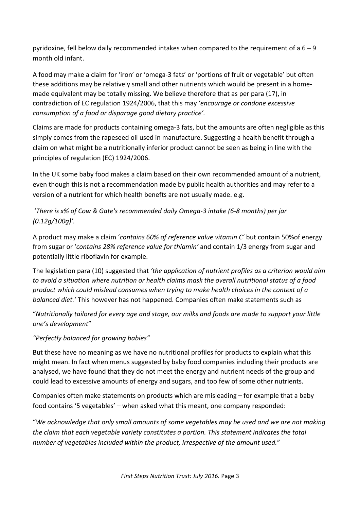pyridoxine, fell below daily recommended intakes when compared to the requirement of a  $6 - 9$ month old infant.

A food may make a claim for 'iron' or 'omega-3 fats' or 'portions of fruit or vegetable' but often these additions may be relatively small and other nutrients which would be present in a homemade equivalent may be totally missing. We believe therefore that as per para (17), in contradiction of EC regulation 1924/2006, that this may '*encourage or condone excessive consumption of a food or disparage good dietary practice'.* 

Claims are made for products containing omega-3 fats, but the amounts are often negligible as this simply comes from the rapeseed oil used in manufacture. Suggesting a health benefit through a claim on what might be a nutritionally inferior product cannot be seen as being in line with the principles of regulation (EC) 1924/2006.

In the UK some baby food makes a claim based on their own recommended amount of a nutrient, even though this is not a recommendation made by public health authorities and may refer to a version of a nutrient for which health benefts are not usually made. e.g.

'There is x% of Cow & Gate's recommended daily Omega-3 intake (6-8 months) per jar *(0.12g/100g)'.* 

A product may make a claim '*contains 60% of reference value vitamin C'* but contain 50%of energy from sugar or '*contains 28% reference value for thiamin'* and contain 1/3 energy from sugar and potentially little riboflavin for example.

The legislation para (10) suggested that 'the application of nutrient profiles as a criterion would aim to avoid a situation where nutrition or health claims mask the overall nutritional status of a food *product* which could mislead consumes when trying to make health choices in the context of a *balanced diet.'* This however has not happened. Companies often make statements such as

"Nutritionally tailored for every age and stage, our milks and foods are made to support your little *one's development*"

*"Perfectly balanced for growing babies"*

But these have no meaning as we have no nutritional profiles for products to explain what this might mean. In fact when menus suggested by baby food companies including their products are analysed, we have found that they do not meet the energy and nutrient needs of the group and could lead to excessive amounts of energy and sugars, and too few of some other nutrients.

Companies often make statements on products which are misleading  $-$  for example that a baby food contains '5 vegetables' – when asked what this meant, one company responded:

"We acknowledge that only small amounts of some vegetables may be used and we are not making *the claim that each vegetable variety constitutes a portion. This statement indicates the total* number of vegetables included within the product, irrespective of the amount used."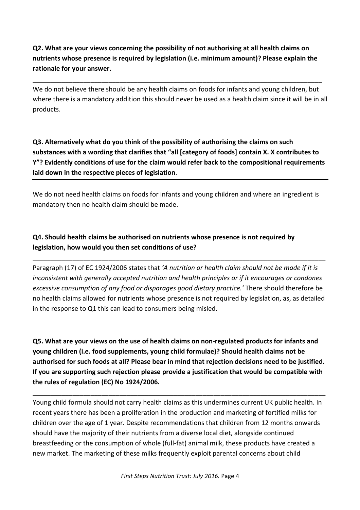**Q2.** What are your views concerning the possibility of not authorising at all health claims on nutrients whose presence is required by legislation (i.e. minimum amount)? Please explain the rationale for your answer.

\_\_\_\_\_\_\_\_\_\_\_\_\_\_\_\_\_\_\_\_\_\_\_\_\_\_\_\_\_\_\_\_\_\_\_\_\_\_\_\_\_\_\_\_\_\_\_\_\_\_\_\_\_\_\_\_\_\_\_\_\_\_\_\_\_\_\_\_\_\_\_\_\_\_\_\_\_\_\_\_

We do not believe there should be any health claims on foods for infants and young children, but where there is a mandatory addition this should never be used as a health claim since it will be in all products.

**Q3.** Alternatively what do you think of the possibility of authorising the claims on such substances with a wording that clarifies that "all [category of foods] contain X. X contributes to Y"? Evidently conditions of use for the claim would refer back to the compositional requirements laid down in the respective pieces of legislation.

We do not need health claims on foods for infants and young children and where an ingredient is mandatory then no health claim should be made.

## **Q4.** Should health claims be authorised on nutrients whose presence is not required by legislation, how would you then set conditions of use?

Paragraph (17) of EC 1924/2006 states that 'A nutrition or health claim should not be made if it is *inconsistent* with generally accepted nutrition and health principles or if it encourages or condones *excessive consumption of any food or disparages good dietary practice.'* There should therefore be no health claims allowed for nutrients whose presence is not required by legislation, as, as detailed in the response to Q1 this can lead to consumers being misled.

\_\_\_\_\_\_\_\_\_\_\_\_\_\_\_\_\_\_\_\_\_\_\_\_\_\_\_\_\_\_\_\_\_\_\_\_\_\_\_\_\_\_\_\_\_\_\_\_\_\_\_\_\_\_\_\_\_\_\_\_\_\_\_\_\_\_\_\_\_\_\_\_\_\_\_\_\_\_\_\_\_

**Q5.** What are your views on the use of health claims on non-regulated products for infants and **young children (i.e. food supplements, young child formulae)? Should health claims not be** authorised for such foods at all? Please bear in mind that rejection decisions need to be justified. If you are supporting such rejection please provide a justification that would be compatible with the rules of regulation (EC) No 1924/2006.

\_\_\_\_\_\_\_\_\_\_\_\_\_\_\_\_\_\_\_\_\_\_\_\_\_\_\_\_\_\_\_\_\_\_\_\_\_\_\_\_\_\_\_\_\_\_\_\_\_\_\_\_\_\_\_\_\_\_\_\_\_\_\_\_\_\_\_\_\_\_\_\_\_\_\_\_\_\_\_\_\_

Young child formula should not carry health claims as this undermines current UK public health. In recent years there has been a proliferation in the production and marketing of fortified milks for children over the age of 1 year. Despite recommendations that children from 12 months onwards should have the majority of their nutrients from a diverse local diet, alongside continued breastfeeding or the consumption of whole (full-fat) animal milk, these products have created a new market. The marketing of these milks frequently exploit parental concerns about child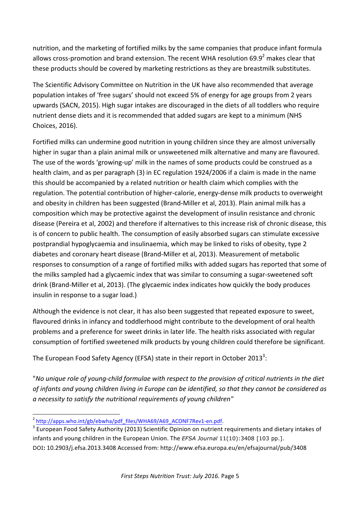nutrition, and the marketing of fortified milks by the same companies that produce infant formula allows cross-promotion and brand extension. The recent WHA resolution  $69.9^2$  makes clear that these products should be covered by marketing restrictions as they are breastmilk substitutes.

The Scientific Advisory Committee on Nutrition in the UK have also recommended that average population intakes of 'free sugars' should not exceed 5% of energy for age groups from 2 years upwards (SACN, 2015). High sugar intakes are discouraged in the diets of all toddlers who require nutrient dense diets and it is recommended that added sugars are kept to a minimum (NHS Choices, 2016). 

Fortified milks can undermine good nutrition in young children since they are almost universally higher in sugar than a plain animal milk or unsweetened milk alternative and many are flavoured. The use of the words 'growing-up' milk in the names of some products could be construed as a health claim, and as per paragraph (3) in EC regulation 1924/2006 if a claim is made in the name this should be accompanied by a related nutrition or health claim which complies with the regulation. The potential contribution of higher-calorie, energy-dense milk products to overweight and obesity in children has been suggested (Brand-Miller et al, 2013). Plain animal milk has a composition which may be protective against the development of insulin resistance and chronic disease (Pereira et al, 2002) and therefore if alternatives to this increase risk of chronic disease, this is of concern to public health. The consumption of easily absorbed sugars can stimulate excessive postprandial hypoglycaemia and insulinaemia, which may be linked to risks of obesity, type 2 diabetes and coronary heart disease (Brand-Miller et al, 2013). Measurement of metabolic responses to consumption of a range of fortified milks with added sugars has reported that some of the milks sampled had a glycaemic index that was similar to consuming a sugar-sweetened soft drink (Brand-Miller et al, 2013). (The glycaemic index indicates how quickly the body produces insulin in response to a sugar load.)

Although the evidence is not clear, it has also been suggested that repeated exposure to sweet, flavoured drinks in infancy and toddlerhood might contribute to the development of oral health problems and a preference for sweet drinks in later life. The health risks associated with regular consumption of fortified sweetened milk products by young children could therefore be significant.

The European Food Safety Agency (EFSA) state in their report in October 2013<sup>3</sup>:

"No unique role of young-child formulae with respect to the provision of critical nutrients in the diet of infants and young children living in Europe can be identified, so that they cannot be considered as *a* necessity to satisfy the nutritional requirements of young children"

<sup>&</sup>lt;u> 1989 - Johann Stein, fransk politiker (d. 1989)</u>  $2$  http://apps.who.int/gb/ebwha/pdf\_files/WHA69/A69\_ACONF7Rev1-en.pdf.

 $3$  European Food Safety Authority (2013) Scientific Opinion on nutrient requirements and dietary intakes of infants and young children in the European Union. The *EFSA Journal* 11(10):3408 [103 pp.]. DOI**:** 10.2903/j.efsa.2013.3408 Accessed from: http://www.efsa.europa.eu/en/efsajournal/pub/3408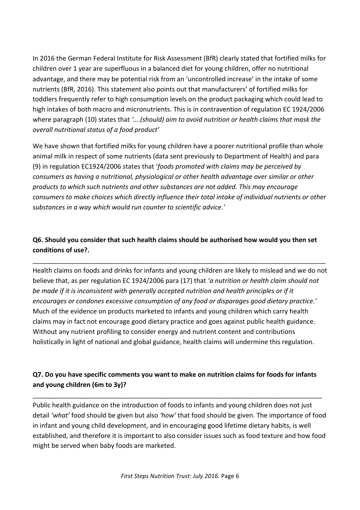In 2016 the German Federal Institute for Risk Assessment (BfR) clearly stated that fortified milks for children over 1 year are superfluous in a balanced diet for young children, offer no nutritional advantage, and there may be potential risk from an 'uncontrolled increase' in the intake of some nutrients (BfR, 2016). This statement also points out that manufacturers' of fortified milks for toddlers frequently refer to high consumption levels on the product packaging which could lead to high intakes of both macro and micronutrients. This is in contravention of regulation EC 1924/2006 where paragraph (10) states that '...(should) aim to avoid nutrition or health claims that mask the *overall nutritional status of a food product'*

We have shown that fortified milks for young children have a poorer nutritional profile than whole animal milk in respect of some nutrients (data sent previously to Department of Health) and para (9) in regulation EC1924/2006 states that '*foods promoted with claims may be perceived by consumers as having a nutritional, physiological or other health advantage over similar or other products* to which such nutrients and other substances are not added. This may encourage *consumers* to make choices which directly influence their total intake of individual nutrients or other substances in a way which would run counter to scientific advice.'

# **Q6.** Should you consider that such health claims should be authorised how would you then set **conditions of use?.**

\_\_\_\_\_\_\_\_\_\_\_\_\_\_\_\_\_\_\_\_\_\_\_\_\_\_\_\_\_\_\_\_\_\_\_\_\_\_\_\_\_\_\_\_\_\_\_\_\_\_\_\_\_\_\_\_\_\_\_\_\_\_\_\_\_\_\_\_\_\_\_\_\_\_\_\_\_\_\_\_\_

Health claims on foods and drinks for infants and young children are likely to mislead and we do not believe that, as per regulation EC 1924/2006 para (17) that 'a nutrition or health claim should not be made if it is inconsistent with generally accepted nutrition and health principles or if it encourages or condones excessive consumption of any food or disparages good dietary practice.' Much of the evidence on products marketed to infants and young children which carry health claims may in fact not encourage good dietary practice and goes against public health guidance. Without any nutrient profiling to consider energy and nutrient content and contributions holistically in light of national and global guidance, health claims will undermine this regulation.

## **Q7.** Do you have specific comments you want to make on nutrition claims for foods for infants and young children (6m to 3y)?

\_\_\_\_\_\_\_\_\_\_\_\_\_\_\_\_\_\_\_\_\_\_\_\_\_\_\_\_\_\_\_\_\_\_\_\_\_\_\_\_\_\_\_\_\_\_\_\_\_\_\_\_\_\_\_\_\_\_\_\_\_\_\_\_\_\_\_\_\_\_\_\_\_\_\_\_\_\_\_\_

Public health guidance on the introduction of foods to infants and young children does not just detail 'what' food should be given but also 'how' that food should be given. The importance of food in infant and young child development, and in encouraging good lifetime dietary habits, is well established, and therefore it is important to also consider issues such as food texture and how food might be served when baby foods are marketed.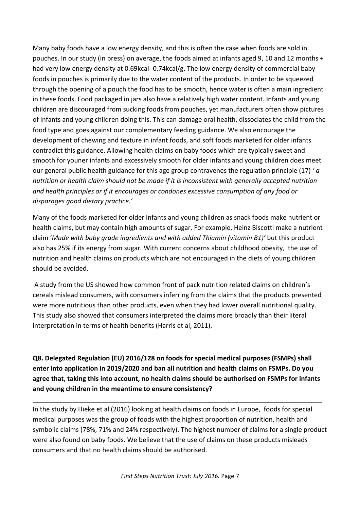Many baby foods have a low energy density, and this is often the case when foods are sold in pouches. In our study (in press) on average, the foods aimed at infants aged 9, 10 and 12 months + had very low energy density at 0.69kcal -0.74kcal/g. The low energy density of commercial baby foods in pouches is primarily due to the water content of the products. In order to be squeezed through the opening of a pouch the food has to be smooth, hence water is often a main ingredient in these foods. Food packaged in jars also have a relatively high water content. Infants and young children are discouraged from sucking foods from pouches, yet manufacturers often show pictures of infants and young children doing this. This can damage oral health, dissociates the child from the food type and goes against our complementary feeding guidance. We also encourage the development of chewing and texture in infant foods, and soft foods marketed for older infants contradict this guidance. Allowing health claims on baby foods which are typically sweet and smooth for youner infants and excessively smooth for older infants and young children does meet our general public health guidance for this age group contravenes the regulation principle (17) '*a* nutrition or health claim should not be made if it is inconsistent with generally accepted nutrition and health principles or if it encourages or condones excessive consumption of any food or *disparages good dietary practice.'*

Many of the foods marketed for older infants and young children as snack foods make nutrient or health claims, but may contain high amounts of sugar. For example, Heinz Biscotti make a nutrient claim '*Made with baby grade ingredients and with added Thiamin (vitamin B1)'* but this product also has 25% if its energy from sugar. With current concerns about childhood obesity, the use of nutrition and health claims on products which are not encouraged in the diets of young children should be avoided.

A study from the US showed how common front of pack nutrition related claims on children's cereals mislead consumers, with consumers inferring from the claims that the products presented were more nutritious than other products, even when they had lower overall nutritional quality. This study also showed that consumers interpreted the claims more broadly than their literal interpretation in terms of health benefits (Harris et al, 2011).

**Q8.** Delegated Regulation (EU) 2016/128 on foods for special medical purposes (FSMPs) shall enter into application in 2019/2020 and ban all nutrition and health claims on FSMPs. Do you agree that, taking this into account, no health claims should be authorised on FSMPs for infants and voung children in the meantime to ensure consistency?

\_\_\_\_\_\_\_\_\_\_\_\_\_\_\_\_\_\_\_\_\_\_\_\_\_\_\_\_\_\_\_\_\_\_\_\_\_\_\_\_\_\_\_\_\_\_\_\_\_\_\_\_\_\_\_\_\_\_\_\_\_\_\_\_\_\_\_\_\_\_\_\_\_\_\_\_\_\_\_\_

In the study by Hieke et al (2016) looking at health claims on foods in Europe, foods for special medical purposes was the group of foods with the highest proportion of nutrition, health and symbolic claims (78%, 71% and 24% respectively). The highest number of claims for a single product were also found on baby foods. We believe that the use of claims on these products misleads consumers and that no health claims should be authorised.